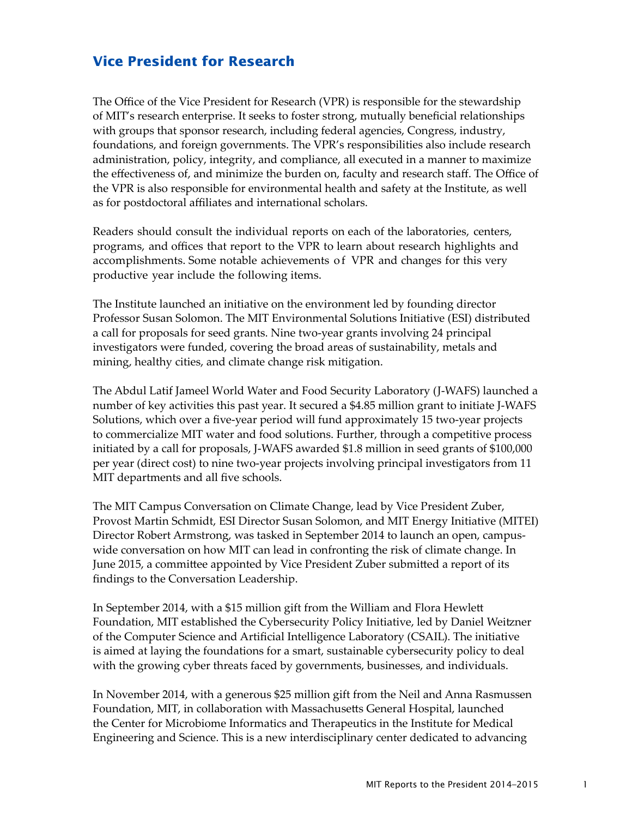## **Vice President for Research**

The Office of the Vice President for Research (VPR) is responsible for the stewardship of MIT's research enterprise. It seeks to foster strong, mutually beneficial relationships with groups that sponsor research, including federal agencies, Congress, industry, foundations, and foreign governments. The VPR's responsibilities also include research administration, policy, integrity, and compliance, all executed in a manner to maximize the effectiveness of, and minimize the burden on, faculty and research staff. The Office of the VPR is also responsible for environmental health and safety at the Institute, as well as for postdoctoral affiliates and international scholars.

Readers should consult the individual reports on each of the laboratories, centers, programs, and offices that report to the VPR to learn about research highlights and accomplishments. Some notable achievements of VPR and changes for this very productive year include the following items.

The Institute launched an initiative on the environment led by founding director Professor Susan Solomon. The MIT Environmental Solutions Initiative (ESI) distributed a call for proposals for seed grants. Nine two-year grants involving 24 principal investigators were funded, covering the broad areas of sustainability, metals and mining, healthy cities, and climate change risk mitigation.

The Abdul Latif Jameel World Water and Food Security Laboratory (J-WAFS) launched a number of key activities this past year. It secured a \$4.85 million grant to initiate J-WAFS Solutions, which over a five-year period will fund approximately 15 two-year projects to commercialize MIT water and food solutions. Further, through a competitive process initiated by a call for proposals, J-WAFS awarded \$1.8 million in seed grants of \$100,000 per year (direct cost) to nine two-year projects involving principal investigators from 11 MIT departments and all five schools.

The MIT Campus Conversation on Climate Change, lead by Vice President Zuber, Provost Martin Schmidt, ESI Director Susan Solomon, and MIT Energy Initiative (MITEI) Director Robert Armstrong, was tasked in September 2014 to launch an open, campuswide conversation on how MIT can lead in confronting the risk of climate change. In June 2015, a committee appointed by Vice President Zuber submitted a report of its findings to the Conversation Leadership.

In September 2014, with a \$15 million gift from the William and Flora Hewlett Foundation, MIT established the Cybersecurity Policy Initiative, led by Daniel Weitzner of the Computer Science and Artificial Intelligence Laboratory (CSAIL). The initiative is aimed at laying the foundations for a smart, sustainable cybersecurity policy to deal with the growing cyber threats faced by governments, businesses, and individuals.

In November 2014, with a generous \$25 million gift from the Neil and Anna Rasmussen Foundation, MIT, in collaboration with Massachusetts General Hospital, launched the Center for Microbiome Informatics and Therapeutics in the Institute for Medical Engineering and Science. This is a new interdisciplinary center dedicated to advancing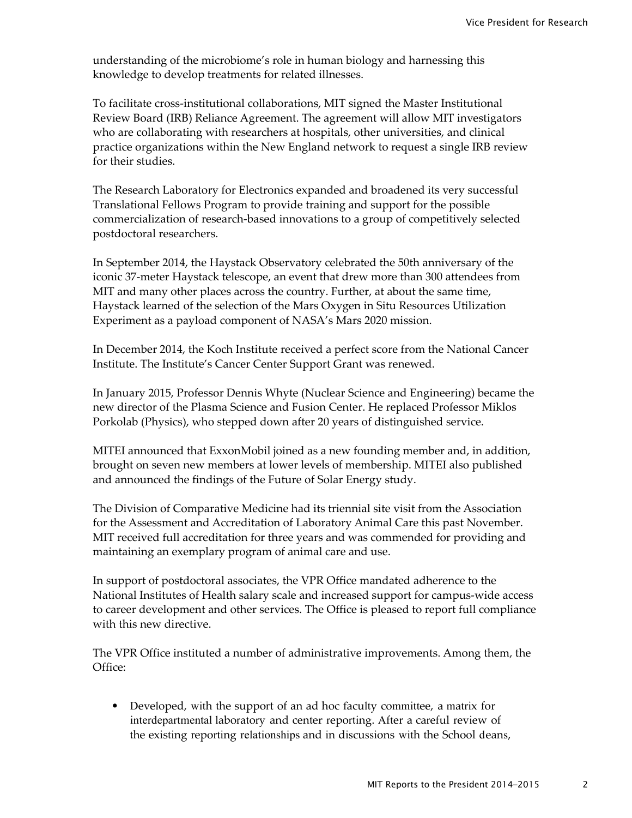understanding of the microbiome's role in human biology and harnessing this knowledge to develop treatments for related illnesses.

To facilitate cross-institutional collaborations, MIT signed the Master Institutional Review Board (IRB) Reliance Agreement. The agreement will allow MIT investigators who are collaborating with researchers at hospitals, other universities, and clinical practice organizations within the New England network to request a single IRB review for their studies.

The Research Laboratory for Electronics expanded and broadened its very successful Translational Fellows Program to provide training and support for the possible commercialization of research-based innovations to a group of competitively selected postdoctoral researchers.

In September 2014, the Haystack Observatory celebrated the 50th anniversary of the iconic 37-meter Haystack telescope, an event that drew more than 300 attendees from MIT and many other places across the country. Further, at about the same time, Haystack learned of the selection of the Mars Oxygen in Situ Resources Utilization Experiment as a payload component of NASA's Mars 2020 mission.

In December 2014, the Koch Institute received a perfect score from the National Cancer Institute. The Institute's Cancer Center Support Grant was renewed.

In January 2015, Professor Dennis Whyte (Nuclear Science and Engineering) became the new director of the Plasma Science and Fusion Center. He replaced Professor Miklos Porkolab (Physics), who stepped down after 20 years of distinguished service.

MITEI announced that ExxonMobil joined as a new founding member and, in addition, brought on seven new members at lower levels of membership. MITEI also published and announced the findings of the Future of Solar Energy study.

The Division of Comparative Medicine had its triennial site visit from the Association for the Assessment and Accreditation of Laboratory Animal Care this past November. MIT received full accreditation for three years and was commended for providing and maintaining an exemplary program of animal care and use.

In support of postdoctoral associates, the VPR Office mandated adherence to the National Institutes of Health salary scale and increased support for campus-wide access to career development and other services. The Office is pleased to report full compliance with this new directive.

The VPR Office instituted a number of administrative improvements. Among them, the Office:

• Developed, with the support of an ad hoc faculty committee, a matrix for interdepartmental laboratory and center reporting. After a careful review of the existing reporting relationships and in discussions with the School deans,